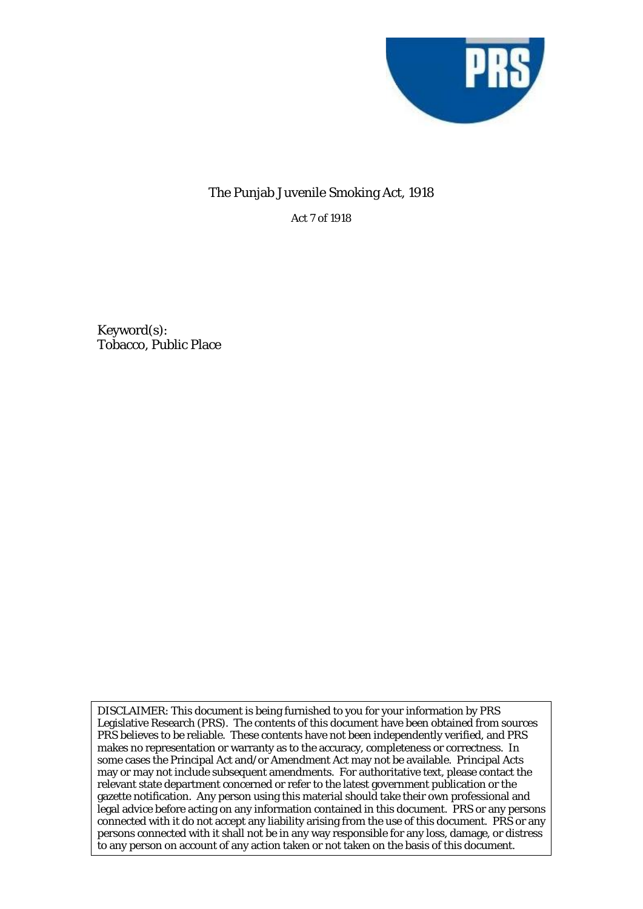

## The Punjab Juvenile Smoking Act, 1918

Act 7 of 1918

Keyword(s): Tobacco, Public Place

DISCLAIMER: This document is being furnished to you for your information by PRS Legislative Research (PRS). The contents of this document have been obtained from sources PRS believes to be reliable. These contents have not been independently verified, and PRS makes no representation or warranty as to the accuracy, completeness or correctness. In some cases the Principal Act and/or Amendment Act may not be available. Principal Acts may or may not include subsequent amendments. For authoritative text, please contact the relevant state department concerned or refer to the latest government publication or the gazette notification. Any person using this material should take their own professional and legal advice before acting on any information contained in this document. PRS or any persons connected with it do not accept any liability arising from the use of this document. PRS or any persons connected with it shall not be in any way responsible for any loss, damage, or distress to any person on account of any action taken or not taken on the basis of this document.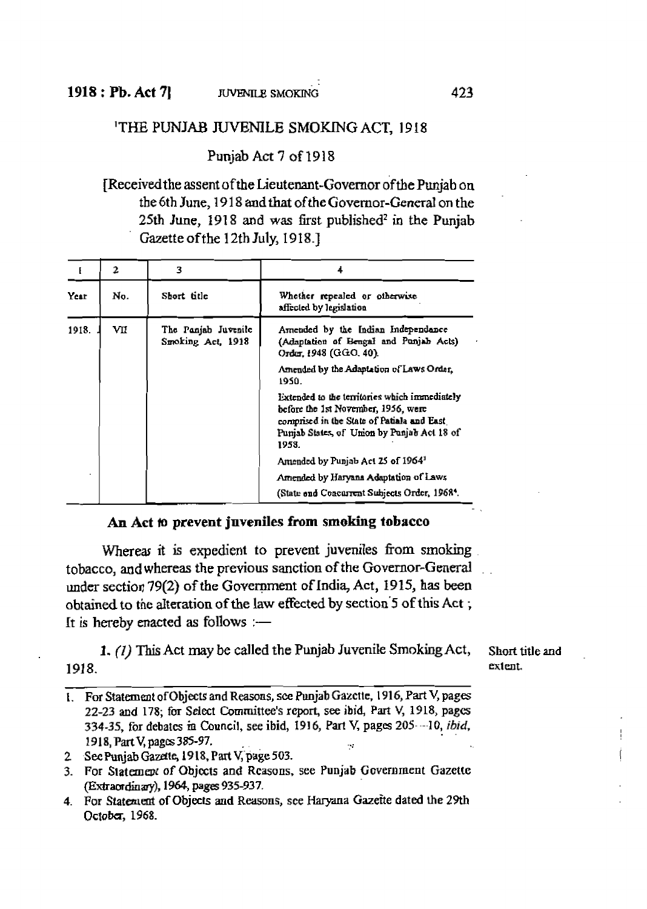## THE PUNJAB JUVENILE SMOKING ACT, 1918

Punjab Act 7 of 1918

[Received the assent of the Lieutenant-Governor of the Puniab on the 6th June, 1918 and that of the Governor-General on the 25th June, 1918 and was first published<sup>2</sup> in the Punjab Gazette of the 12th July, 1918.1

|       | 2    | 3                                        |                                                                                                                                                                                           |
|-------|------|------------------------------------------|-------------------------------------------------------------------------------------------------------------------------------------------------------------------------------------------|
| Year  | No.  | Sbort title                              | Whether repealed or otherwise<br>affected by legislation                                                                                                                                  |
| 1918. | VII. | The Panjab Juvenile<br>Smoking Act, 1918 | Amended by the Indian Independance<br>(Adaptation of Bengal and Punjab Acts)<br>Order, 1948 (GGO, 40).                                                                                    |
|       |      |                                          | Amended by the Adaptation of Laws Order.<br>1950.                                                                                                                                         |
|       |      |                                          | Extended to the territories which immediately<br>before the 1st November, 1956, were<br>comprised in the State of Patiala and East<br>Pumab States, of Union by Punjab Act 18 of<br>1958. |
|       |      |                                          | Amended by Punjab Act 25 of 1964 <sup>1</sup>                                                                                                                                             |
|       |      |                                          | Amended by Haryana Adaptation of Laws                                                                                                                                                     |
|       |      |                                          | (State end Concurrent Subjects Order, 1968 <sup>4</sup> .                                                                                                                                 |

## An Act to prevent juveniles from smoking tobacco

Whereas it is expedient to prevent juveniles from smoking tobacco, and whereas the previous sanction of the Governor-General under section 79(2) of the Government of India, Act, 1915, has been obtained to the alteration of the law effected by section 5 of this Act; It is hereby enacted as follows  $:$  —

1. (1) This Act may be called the Punjab Juvenile Smoking Act, 1918.

Short title and extent.

- 1. For Statement of Objects and Reasons, see Punjab Gazette, 1916, Part V, pages 22-23 and 178; for Select Committee's report, see ibid, Part V, 1918, pages 334-35, for debates in Council, see ibid, 1916, Part V, pages 205—10, ibid, 1918, Part V, pages 385-97.
- 2 Sec Punjab Gazette, 1918, Part V, page 503.

4. For Statement of Objects and Reasons, see Haryana Gazette dated the 29th October, 1968.

<sup>3.</sup> For Statement of Objects and Reasons, see Punjab Government Gazette (Extraordinary), 1964, pages 935-937.